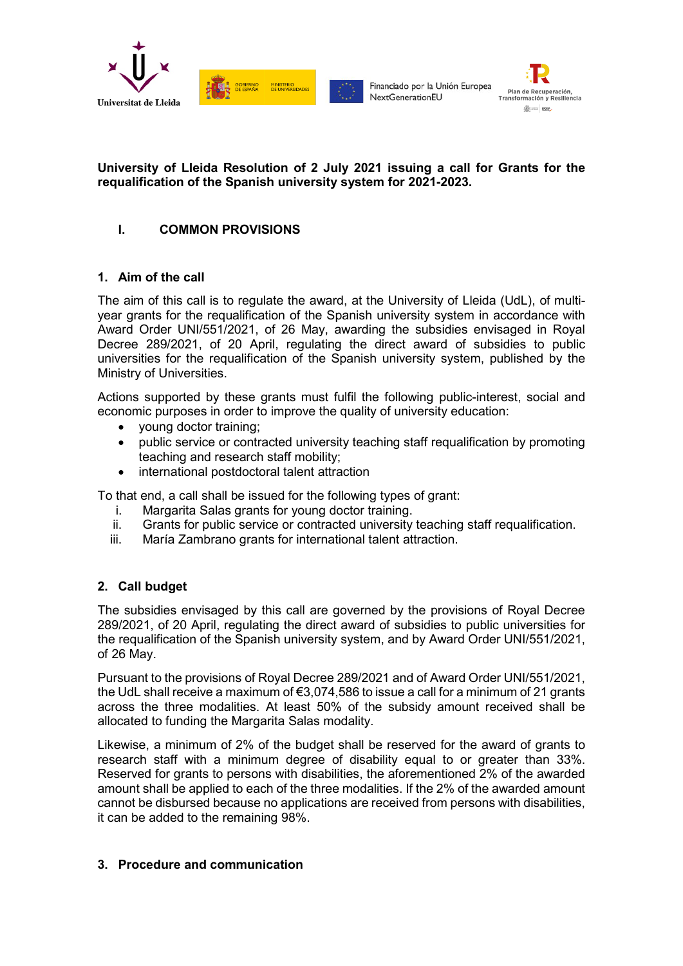



## **University of Lleida Resolution of 2 July 2021 issuing a call for Grants for the requalification of the Spanish university system for 2021-2023.**

# **I. COMMON PROVISIONS**

## **1. Aim of the call**

The aim of this call is to regulate the award, at the University of Lleida (UdL), of multiyear grants for the requalification of the Spanish university system in accordance with Award Order UNI/551/2021, of 26 May, awarding the subsidies envisaged in Royal Decree 289/2021, of 20 April, regulating the direct award of subsidies to public universities for the requalification of the Spanish university system, published by the Ministry of Universities.

Actions supported by these grants must fulfil the following public-interest, social and economic purposes in order to improve the quality of university education:

- young doctor training;
- public service or contracted university teaching staff requalification by promoting teaching and research staff mobility;
- international postdoctoral talent attraction

To that end, a call shall be issued for the following types of grant:

- i. Margarita Salas grants for young doctor training.
- ii. Grants for public service or contracted university teaching staff requalification.
- iii. María Zambrano grants for international talent attraction.

## **2. Call budget**

The subsidies envisaged by this call are governed by the provisions of Royal Decree 289/2021, of 20 April, regulating the direct award of subsidies to public universities for the requalification of the Spanish university system, and by Award Order UNI/551/2021, of 26 May.

Pursuant to the provisions of Royal Decree 289/2021 and of Award Order UNI/551/2021, the UdL shall receive a maximum of  $\epsilon$ 3,074,586 to issue a call for a minimum of 21 grants across the three modalities. At least 50% of the subsidy amount received shall be allocated to funding the Margarita Salas modality.

Likewise, a minimum of 2% of the budget shall be reserved for the award of grants to research staff with a minimum degree of disability equal to or greater than 33%. Reserved for grants to persons with disabilities, the aforementioned 2% of the awarded amount shall be applied to each of the three modalities. If the 2% of the awarded amount cannot be disbursed because no applications are received from persons with disabilities, it can be added to the remaining 98%.

## **3. Procedure and communication**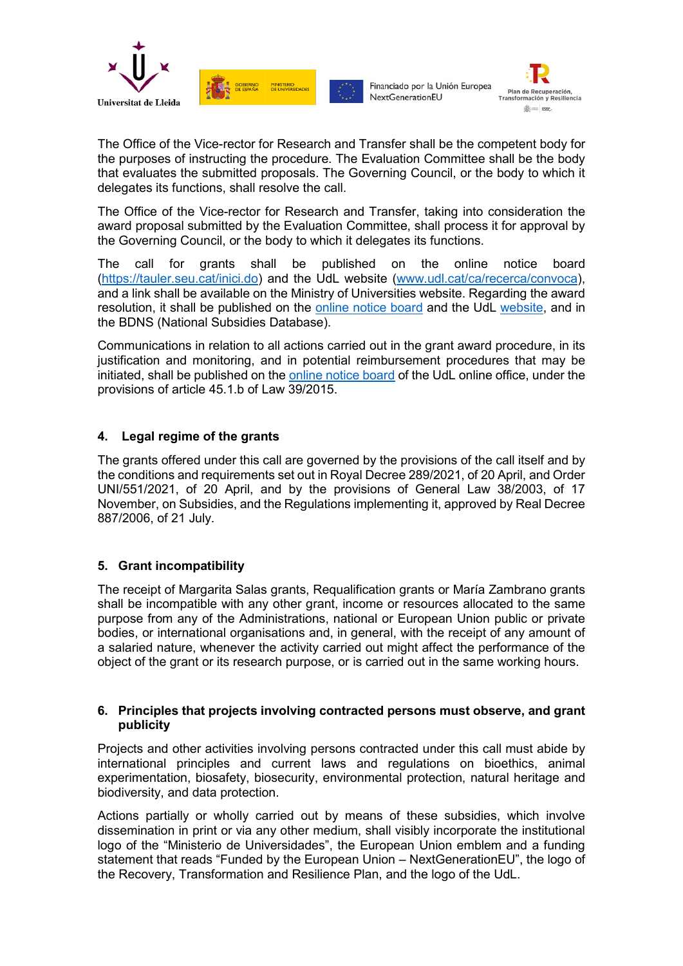



The Office of the Vice-rector for Research and Transfer shall be the competent body for the purposes of instructing the procedure. The Evaluation Committee shall be the body that evaluates the submitted proposals. The Governing Council, or the body to which it delegates its functions, shall resolve the call.

The Office of the Vice-rector for Research and Transfer, taking into consideration the award proposal submitted by the Evaluation Committee, shall process it for approval by the Governing Council, or the body to which it delegates its functions.

The call for grants shall be published on the online notice board [\(https://tauler.seu.cat/inici.do\)](https://tauler.seu.cat/inici.do) and the UdL website [\(www.udl.cat/ca/recerca/convoca\)](http://www.udl.cat/ca/recerca/convoca), and a link shall be available on the Ministry of Universities website. Regarding the award resolution, it shall be published on the [online notice board](https://seuelectronica.udl.cat/etauler.php) and the UdL [website,](http://www.udl.cat/ca/recerca/convoca/) and in the BDNS (National Subsidies Database).

Communications in relation to all actions carried out in the grant award procedure, in its justification and monitoring, and in potential reimbursement procedures that may be initiated, shall be published on the [online notice board](https://seuelectronica.udl.cat/etauler.php) of the UdL online office, under the provisions of article 45.1.b of Law 39/2015.

## **4. Legal regime of the grants**

The grants offered under this call are governed by the provisions of the call itself and by the conditions and requirements set out in Royal Decree 289/2021, of 20 April, and Order UNI/551/2021, of 20 April, and by the provisions of General Law 38/2003, of 17 November, on Subsidies, and the Regulations implementing it, approved by Real Decree 887/2006, of 21 July.

## **5. Grant incompatibility**

The receipt of Margarita Salas grants, Requalification grants or María Zambrano grants shall be incompatible with any other grant, income or resources allocated to the same purpose from any of the Administrations, national or European Union public or private bodies, or international organisations and, in general, with the receipt of any amount of a salaried nature, whenever the activity carried out might affect the performance of the object of the grant or its research purpose, or is carried out in the same working hours.

## **6. Principles that projects involving contracted persons must observe, and grant publicity**

Projects and other activities involving persons contracted under this call must abide by international principles and current laws and regulations on bioethics, animal experimentation, biosafety, biosecurity, environmental protection, natural heritage and biodiversity, and data protection.

Actions partially or wholly carried out by means of these subsidies, which involve dissemination in print or via any other medium, shall visibly incorporate the institutional logo of the "Ministerio de Universidades", the European Union emblem and a funding statement that reads "Funded by the European Union – NextGenerationEU", the logo of the Recovery, Transformation and Resilience Plan, and the logo of the UdL.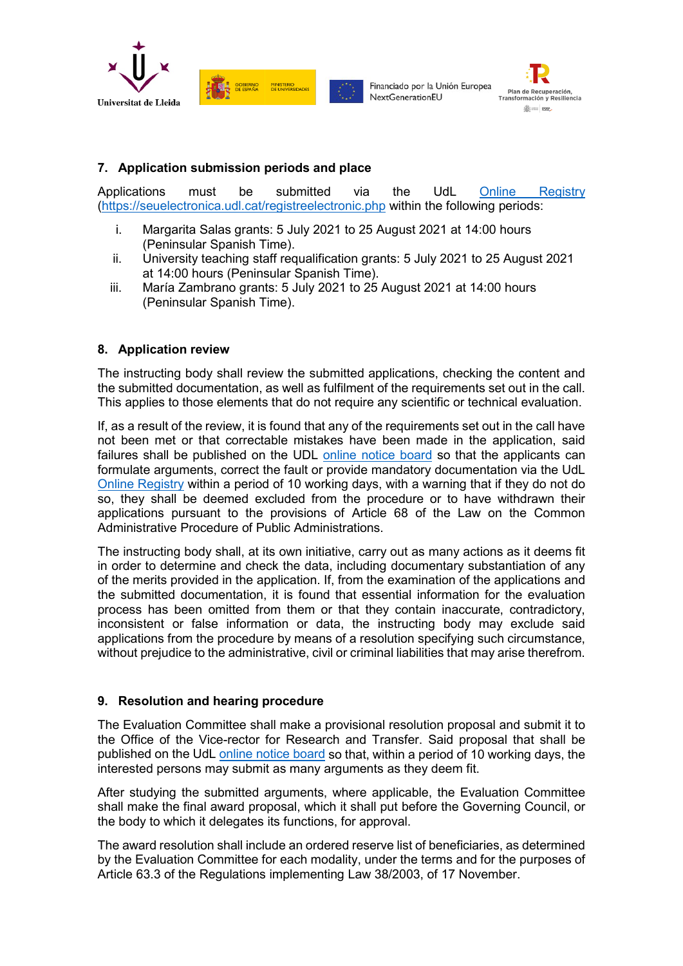

MINISTERIO<br>DE LINIVERS

Financiado por la Unión Europea NextGenerationEU



## **7. Application submission periods and place**

Applications must be submitted via the UdL [Online Registry](https://seuelectronica.udl.cat/registreelectronic.php) [\(https://seuelectronica.udl.cat/registreelectronic.php](https://seuelectronica.udl.cat/registreelectronic.php) within the following periods:

- i. Margarita Salas grants: 5 July 2021 to 25 August 2021 at 14:00 hours (Peninsular Spanish Time).
- ii. University teaching staff requalification grants: 5 July 2021 to 25 August 2021 at 14:00 hours (Peninsular Spanish Time).
- iii. María Zambrano grants: 5 July 2021 to 25 August 2021 at 14:00 hours (Peninsular Spanish Time).

## **8. Application review**

The instructing body shall review the submitted applications, checking the content and the submitted documentation, as well as fulfilment of the requirements set out in the call. This applies to those elements that do not require any scientific or technical evaluation.

If, as a result of the review, it is found that any of the requirements set out in the call have not been met or that correctable mistakes have been made in the application, said failures shall be published on the UDL [online notice board](https://seuelectronica.udl.cat/etauler.php) so that the applicants can formulate arguments, correct the fault or provide mandatory documentation via the UdL [Online Registry](https://seuelectronica.udl.cat/registreelectronic.php) within a period of 10 working days, with a warning that if they do not do so, they shall be deemed excluded from the procedure or to have withdrawn their applications pursuant to the provisions of Article 68 of the Law on the Common Administrative Procedure of Public Administrations.

The instructing body shall, at its own initiative, carry out as many actions as it deems fit in order to determine and check the data, including documentary substantiation of any of the merits provided in the application. If, from the examination of the applications and the submitted documentation, it is found that essential information for the evaluation process has been omitted from them or that they contain inaccurate, contradictory, inconsistent or false information or data, the instructing body may exclude said applications from the procedure by means of a resolution specifying such circumstance, without prejudice to the administrative, civil or criminal liabilities that may arise therefrom.

## **9. Resolution and hearing procedure**

The Evaluation Committee shall make a provisional resolution proposal and submit it to the Office of the Vice-rector for Research and Transfer. Said proposal that shall be published on the UdL [online notice board](https://seuelectronica.udl.cat/etauler.php) so that, within a period of 10 working days, the interested persons may submit as many arguments as they deem fit.

After studying the submitted arguments, where applicable, the Evaluation Committee shall make the final award proposal, which it shall put before the Governing Council, or the body to which it delegates its functions, for approval.

The award resolution shall include an ordered reserve list of beneficiaries, as determined by the Evaluation Committee for each modality, under the terms and for the purposes of Article 63.3 of the Regulations implementing Law 38/2003, of 17 November.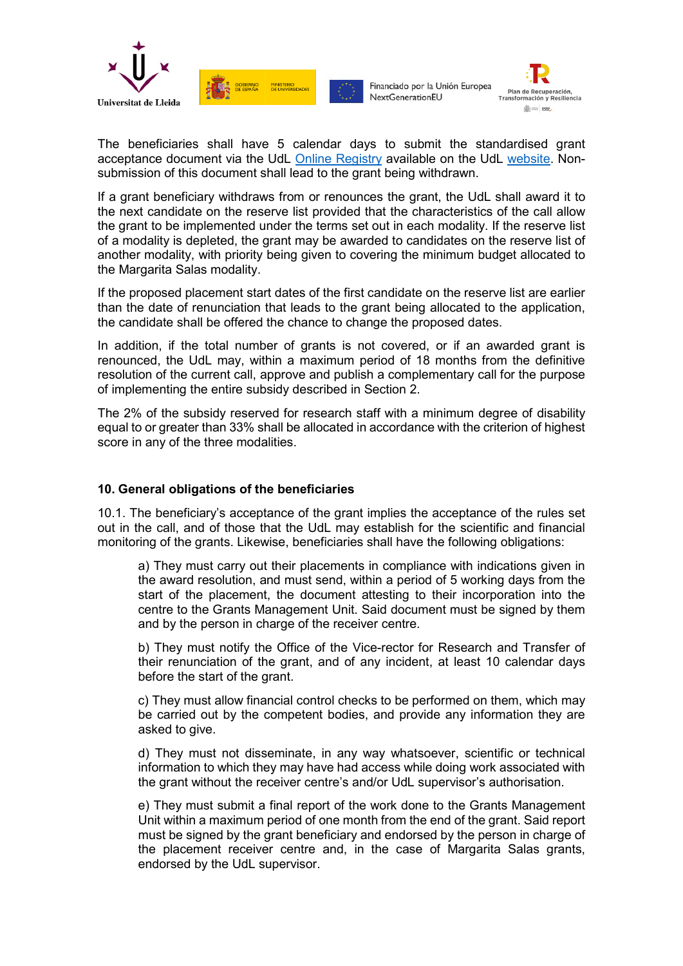





The beneficiaries shall have 5 calendar days to submit the standardised grant acceptance document via the UdL [Online Registry](https://seuelectronica.udl.cat/registreelectronic.php) available on the UdL [website.](http://www.udl.cat/ca/recerca/convoca/) Nonsubmission of this document shall lead to the grant being withdrawn.

If a grant beneficiary withdraws from or renounces the grant, the UdL shall award it to the next candidate on the reserve list provided that the characteristics of the call allow the grant to be implemented under the terms set out in each modality. If the reserve list of a modality is depleted, the grant may be awarded to candidates on the reserve list of another modality, with priority being given to covering the minimum budget allocated to the Margarita Salas modality.

If the proposed placement start dates of the first candidate on the reserve list are earlier than the date of renunciation that leads to the grant being allocated to the application, the candidate shall be offered the chance to change the proposed dates.

In addition, if the total number of grants is not covered, or if an awarded grant is renounced, the UdL may, within a maximum period of 18 months from the definitive resolution of the current call, approve and publish a complementary call for the purpose of implementing the entire subsidy described in Section 2.

The 2% of the subsidy reserved for research staff with a minimum degree of disability equal to or greater than 33% shall be allocated in accordance with the criterion of highest score in any of the three modalities.

## **10. General obligations of the beneficiaries**

10.1. The beneficiary's acceptance of the grant implies the acceptance of the rules set out in the call, and of those that the UdL may establish for the scientific and financial monitoring of the grants. Likewise, beneficiaries shall have the following obligations:

a) They must carry out their placements in compliance with indications given in the award resolution, and must send, within a period of 5 working days from the start of the placement, the document attesting to their incorporation into the centre to the Grants Management Unit. Said document must be signed by them and by the person in charge of the receiver centre.

b) They must notify the Office of the Vice-rector for Research and Transfer of their renunciation of the grant, and of any incident, at least 10 calendar days before the start of the grant.

c) They must allow financial control checks to be performed on them, which may be carried out by the competent bodies, and provide any information they are asked to give.

d) They must not disseminate, in any way whatsoever, scientific or technical information to which they may have had access while doing work associated with the grant without the receiver centre's and/or UdL supervisor's authorisation.

e) They must submit a final report of the work done to the Grants Management Unit within a maximum period of one month from the end of the grant. Said report must be signed by the grant beneficiary and endorsed by the person in charge of the placement receiver centre and, in the case of Margarita Salas grants, endorsed by the UdL supervisor.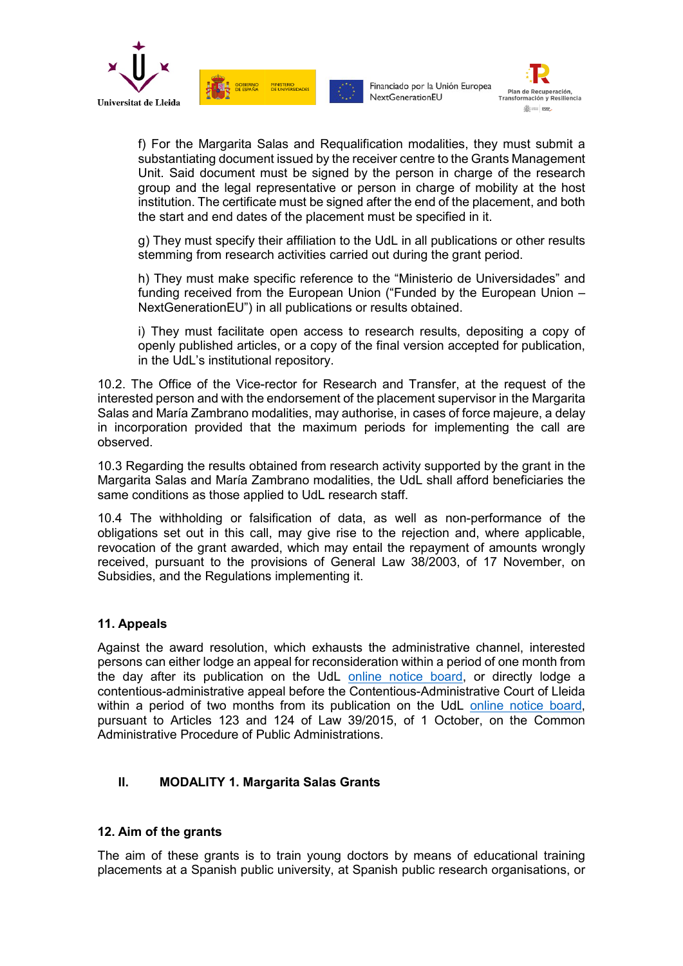



f) For the Margarita Salas and Requalification modalities, they must submit a substantiating document issued by the receiver centre to the Grants Management Unit. Said document must be signed by the person in charge of the research group and the legal representative or person in charge of mobility at the host institution. The certificate must be signed after the end of the placement, and both the start and end dates of the placement must be specified in it.

g) They must specify their affiliation to the UdL in all publications or other results stemming from research activities carried out during the grant period.

h) They must make specific reference to the "Ministerio de Universidades" and funding received from the European Union ("Funded by the European Union – NextGenerationEU") in all publications or results obtained.

i) They must facilitate open access to research results, depositing a copy of openly published articles, or a copy of the final version accepted for publication, in the UdL's institutional repository.

10.2. The Office of the Vice-rector for Research and Transfer, at the request of the interested person and with the endorsement of the placement supervisor in the Margarita Salas and María Zambrano modalities, may authorise, in cases of force majeure, a delay in incorporation provided that the maximum periods for implementing the call are observed.

10.3 Regarding the results obtained from research activity supported by the grant in the Margarita Salas and María Zambrano modalities, the UdL shall afford beneficiaries the same conditions as those applied to UdL research staff.

10.4 The withholding or falsification of data, as well as non-performance of the obligations set out in this call, may give rise to the rejection and, where applicable, revocation of the grant awarded, which may entail the repayment of amounts wrongly received, pursuant to the provisions of General Law 38/2003, of 17 November, on Subsidies, and the Regulations implementing it.

## **11. Appeals**

Against the award resolution, which exhausts the administrative channel, interested persons can either lodge an appeal for reconsideration within a period of one month from the day after its publication on the UdL [online notice board,](https://seuelectronica.udl.cat/etauler.php) or directly lodge a contentious-administrative appeal before the Contentious-Administrative Court of Lleida within a period of two months from its publication on the UdL [online notice board,](https://seuelectronica.udl.cat/etauler.php) pursuant to Articles 123 and 124 of Law 39/2015, of 1 October, on the Common Administrative Procedure of Public Administrations.

## **II. MODALITY 1. Margarita Salas Grants**

## **12. Aim of the grants**

The aim of these grants is to train young doctors by means of educational training placements at a Spanish public university, at Spanish public research organisations, or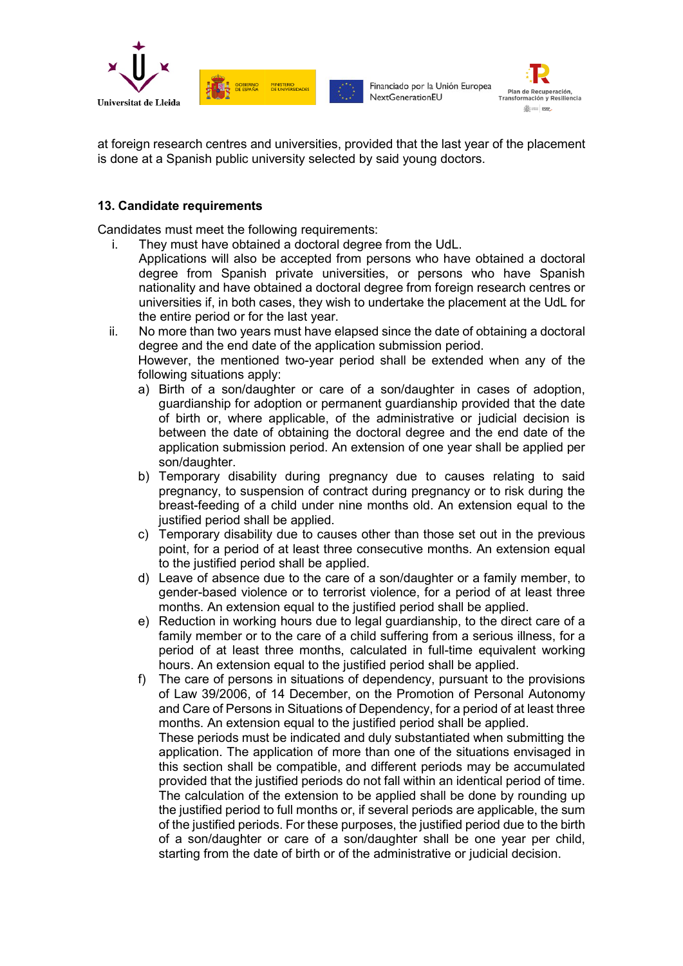



at foreign research centres and universities, provided that the last year of the placement is done at a Spanish public university selected by said young doctors.

## **13. Candidate requirements**

Candidates must meet the following requirements:

- i. They must have obtained a doctoral degree from the UdL.
	- Applications will also be accepted from persons who have obtained a doctoral degree from Spanish private universities, or persons who have Spanish nationality and have obtained a doctoral degree from foreign research centres or universities if, in both cases, they wish to undertake the placement at the UdL for the entire period or for the last year.
- ii. No more than two years must have elapsed since the date of obtaining a doctoral degree and the end date of the application submission period. However, the mentioned two-year period shall be extended when any of the following situations apply:
	- a) Birth of a son/daughter or care of a son/daughter in cases of adoption, guardianship for adoption or permanent guardianship provided that the date of birth or, where applicable, of the administrative or judicial decision is between the date of obtaining the doctoral degree and the end date of the application submission period. An extension of one year shall be applied per son/daughter.
	- b) Temporary disability during pregnancy due to causes relating to said pregnancy, to suspension of contract during pregnancy or to risk during the breast-feeding of a child under nine months old. An extension equal to the justified period shall be applied.
	- c) Temporary disability due to causes other than those set out in the previous point, for a period of at least three consecutive months. An extension equal to the justified period shall be applied.
	- d) Leave of absence due to the care of a son/daughter or a family member, to gender-based violence or to terrorist violence, for a period of at least three months. An extension equal to the justified period shall be applied.
	- e) Reduction in working hours due to legal guardianship, to the direct care of a family member or to the care of a child suffering from a serious illness, for a period of at least three months, calculated in full-time equivalent working hours. An extension equal to the justified period shall be applied.
	- f) The care of persons in situations of dependency, pursuant to the provisions of Law 39/2006, of 14 December, on the Promotion of Personal Autonomy and Care of Persons in Situations of Dependency, for a period of at least three months. An extension equal to the justified period shall be applied. These periods must be indicated and duly substantiated when submitting the application. The application of more than one of the situations envisaged in this section shall be compatible, and different periods may be accumulated provided that the justified periods do not fall within an identical period of time. The calculation of the extension to be applied shall be done by rounding up the justified period to full months or, if several periods are applicable, the sum of the justified periods. For these purposes, the justified period due to the birth of a son/daughter or care of a son/daughter shall be one year per child, starting from the date of birth or of the administrative or judicial decision.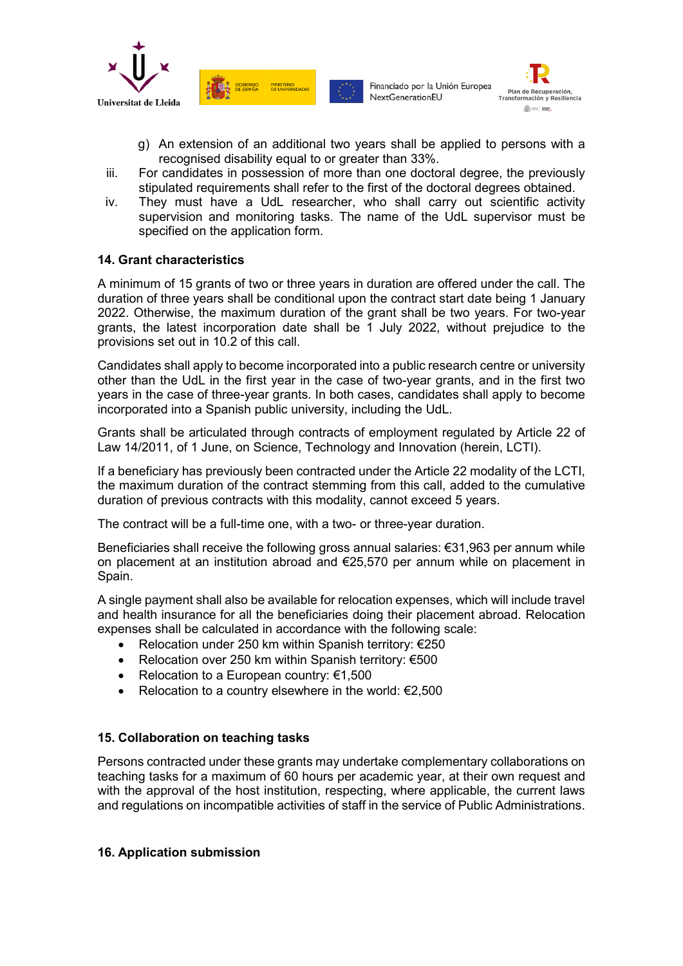



- g) An extension of an additional two years shall be applied to persons with a recognised disability equal to or greater than 33%.
- iii. For candidates in possession of more than one doctoral degree, the previously stipulated requirements shall refer to the first of the doctoral degrees obtained.
- iv. They must have a UdL researcher, who shall carry out scientific activity supervision and monitoring tasks. The name of the UdL supervisor must be specified on the application form.

## **14. Grant characteristics**

A minimum of 15 grants of two or three years in duration are offered under the call. The duration of three years shall be conditional upon the contract start date being 1 January 2022. Otherwise, the maximum duration of the grant shall be two years. For two-year grants, the latest incorporation date shall be 1 July 2022, without prejudice to the provisions set out in 10.2 of this call.

Candidates shall apply to become incorporated into a public research centre or university other than the UdL in the first year in the case of two-year grants, and in the first two years in the case of three-year grants. In both cases, candidates shall apply to become incorporated into a Spanish public university, including the UdL.

Grants shall be articulated through contracts of employment regulated by Article 22 of Law 14/2011, of 1 June, on Science, Technology and Innovation (herein, LCTI).

If a beneficiary has previously been contracted under the Article 22 modality of the LCTI, the maximum duration of the contract stemming from this call, added to the cumulative duration of previous contracts with this modality, cannot exceed 5 years.

The contract will be a full-time one, with a two- or three-year duration.

Beneficiaries shall receive the following gross annual salaries: €31,963 per annum while on placement at an institution abroad and €25,570 per annum while on placement in Spain.

A single payment shall also be available for relocation expenses, which will include travel and health insurance for all the beneficiaries doing their placement abroad. Relocation expenses shall be calculated in accordance with the following scale:

- Relocation under 250 km within Spanish territory: €250
- Relocation over 250 km within Spanish territory: €500
- Relocation to a European country:  $€1,500$
- Relocation to a country elsewhere in the world:  $E$ 2,500

## **15. Collaboration on teaching tasks**

Persons contracted under these grants may undertake complementary collaborations on teaching tasks for a maximum of 60 hours per academic year, at their own request and with the approval of the host institution, respecting, where applicable, the current laws and regulations on incompatible activities of staff in the service of Public Administrations.

## **16. Application submission**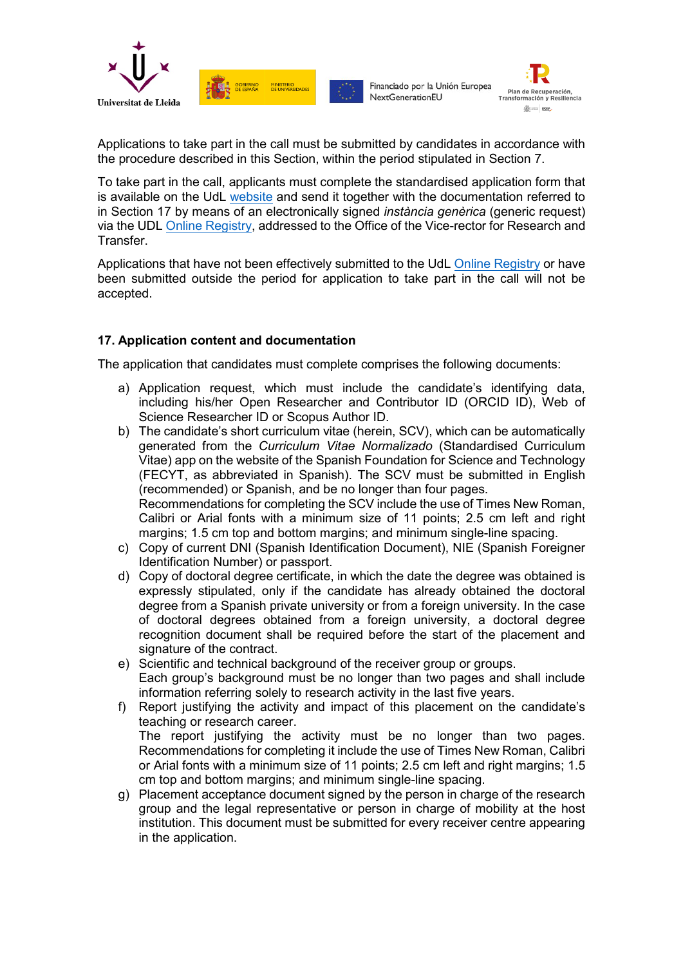



Applications to take part in the call must be submitted by candidates in accordance with the procedure described in this Section, within the period stipulated in Section 7.

To take part in the call, applicants must complete the standardised application form that is available on the UdL [website](http://www.udl.cat/ca/recerca/convoca/) and send it together with the documentation referred to in Section 17 by means of an electronically signed *instància genèrica* (generic request) via the UDL [Online Registry,](https://seuelectronica.udl.cat/registreelectronic.php) addressed to the Office of the Vice-rector for Research and Transfer.

Applications that have not been effectively submitted to the UdL [Online Registry](https://seuelectronica.udl.cat/registreelectronic.php) or have been submitted outside the period for application to take part in the call will not be accepted.

## **17. Application content and documentation**

**SOBIERNO** 

MINISTERIO

The application that candidates must complete comprises the following documents:

- a) Application request, which must include the candidate's identifying data, including his/her Open Researcher and Contributor ID (ORCID ID), Web of Science Researcher ID or Scopus Author ID.
- b) The candidate's short curriculum vitae (herein, SCV), which can be automatically generated from the *Curriculum Vitae Normalizado* (Standardised Curriculum Vitae) app on the website of the Spanish Foundation for Science and Technology (FECYT, as abbreviated in Spanish). The SCV must be submitted in English (recommended) or Spanish, and be no longer than four pages. Recommendations for completing the SCV include the use of Times New Roman, Calibri or Arial fonts with a minimum size of 11 points; 2.5 cm left and right margins; 1.5 cm top and bottom margins; and minimum single-line spacing.
- c) Copy of current DNI (Spanish Identification Document), NIE (Spanish Foreigner Identification Number) or passport.
- d) Copy of doctoral degree certificate, in which the date the degree was obtained is expressly stipulated, only if the candidate has already obtained the doctoral degree from a Spanish private university or from a foreign university. In the case of doctoral degrees obtained from a foreign university, a doctoral degree recognition document shall be required before the start of the placement and signature of the contract.
- e) Scientific and technical background of the receiver group or groups. Each group's background must be no longer than two pages and shall include information referring solely to research activity in the last five years.
- f) Report justifying the activity and impact of this placement on the candidate's teaching or research career. The report justifying the activity must be no longer than two pages. Recommendations for completing it include the use of Times New Roman, Calibri or Arial fonts with a minimum size of 11 points; 2.5 cm left and right margins; 1.5 cm top and bottom margins; and minimum single-line spacing.
- g) Placement acceptance document signed by the person in charge of the research group and the legal representative or person in charge of mobility at the host institution. This document must be submitted for every receiver centre appearing in the application.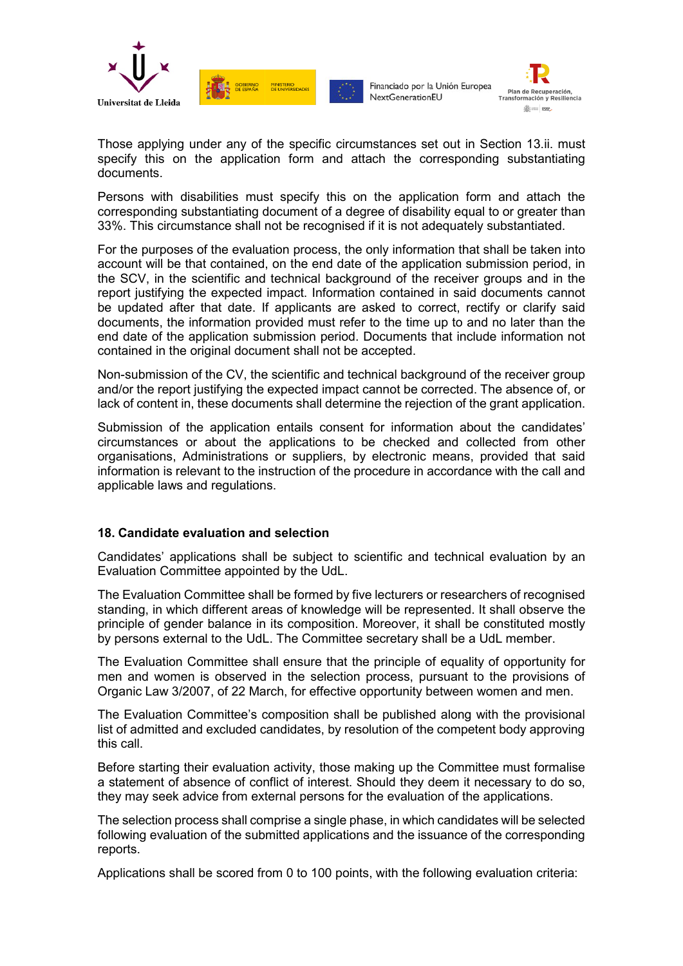

**SEE GOBIERNO** 

**MINISTERIO**<br>DE LINIVERS

Financiado por la Unión Europea NextGenerationEU



Those applying under any of the specific circumstances set out in Section 13.ii. must specify this on the application form and attach the corresponding substantiating documents.

Persons with disabilities must specify this on the application form and attach the corresponding substantiating document of a degree of disability equal to or greater than 33%. This circumstance shall not be recognised if it is not adequately substantiated.

For the purposes of the evaluation process, the only information that shall be taken into account will be that contained, on the end date of the application submission period, in the SCV, in the scientific and technical background of the receiver groups and in the report justifying the expected impact. Information contained in said documents cannot be updated after that date. If applicants are asked to correct, rectify or clarify said documents, the information provided must refer to the time up to and no later than the end date of the application submission period. Documents that include information not contained in the original document shall not be accepted.

Non-submission of the CV, the scientific and technical background of the receiver group and/or the report justifying the expected impact cannot be corrected. The absence of, or lack of content in, these documents shall determine the rejection of the grant application.

Submission of the application entails consent for information about the candidates' circumstances or about the applications to be checked and collected from other organisations, Administrations or suppliers, by electronic means, provided that said information is relevant to the instruction of the procedure in accordance with the call and applicable laws and regulations.

## **18. Candidate evaluation and selection**

Candidates' applications shall be subject to scientific and technical evaluation by an Evaluation Committee appointed by the UdL.

The Evaluation Committee shall be formed by five lecturers or researchers of recognised standing, in which different areas of knowledge will be represented. It shall observe the principle of gender balance in its composition. Moreover, it shall be constituted mostly by persons external to the UdL. The Committee secretary shall be a UdL member.

The Evaluation Committee shall ensure that the principle of equality of opportunity for men and women is observed in the selection process, pursuant to the provisions of Organic Law 3/2007, of 22 March, for effective opportunity between women and men.

The Evaluation Committee's composition shall be published along with the provisional list of admitted and excluded candidates, by resolution of the competent body approving this call.

Before starting their evaluation activity, those making up the Committee must formalise a statement of absence of conflict of interest. Should they deem it necessary to do so, they may seek advice from external persons for the evaluation of the applications.

The selection process shall comprise a single phase, in which candidates will be selected following evaluation of the submitted applications and the issuance of the corresponding reports.

Applications shall be scored from 0 to 100 points, with the following evaluation criteria: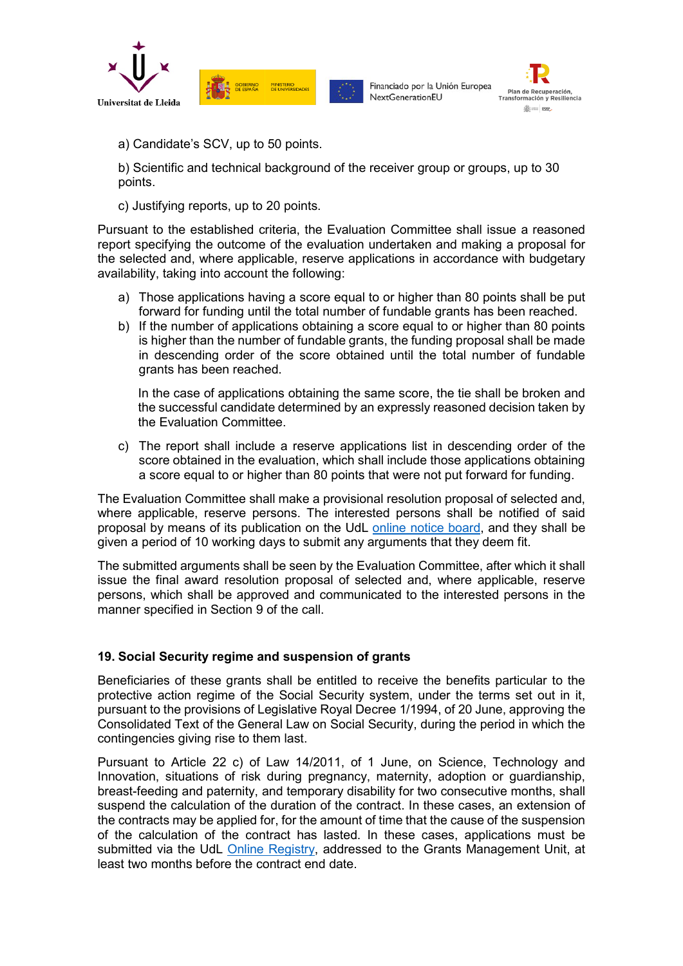

**DE SPAÑA** MINISTERIO

Financiado por la Unión Europea NextGenerationEU



a) Candidate's SCV, up to 50 points.

b) Scientific and technical background of the receiver group or groups, up to 30 points.

c) Justifying reports, up to 20 points.

Pursuant to the established criteria, the Evaluation Committee shall issue a reasoned report specifying the outcome of the evaluation undertaken and making a proposal for the selected and, where applicable, reserve applications in accordance with budgetary availability, taking into account the following:

- a) Those applications having a score equal to or higher than 80 points shall be put forward for funding until the total number of fundable grants has been reached.
- b) If the number of applications obtaining a score equal to or higher than 80 points is higher than the number of fundable grants, the funding proposal shall be made in descending order of the score obtained until the total number of fundable grants has been reached.

In the case of applications obtaining the same score, the tie shall be broken and the successful candidate determined by an expressly reasoned decision taken by the Evaluation Committee.

c) The report shall include a reserve applications list in descending order of the score obtained in the evaluation, which shall include those applications obtaining a score equal to or higher than 80 points that were not put forward for funding.

The Evaluation Committee shall make a provisional resolution proposal of selected and, where applicable, reserve persons. The interested persons shall be notified of said proposal by means of its publication on the UdL [online notice board,](https://seuelectronica.udl.cat/etauler.php) and they shall be given a period of 10 working days to submit any arguments that they deem fit.

The submitted arguments shall be seen by the Evaluation Committee, after which it shall issue the final award resolution proposal of selected and, where applicable, reserve persons, which shall be approved and communicated to the interested persons in the manner specified in Section 9 of the call.

## **19. Social Security regime and suspension of grants**

Beneficiaries of these grants shall be entitled to receive the benefits particular to the protective action regime of the Social Security system, under the terms set out in it, pursuant to the provisions of Legislative Royal Decree 1/1994, of 20 June, approving the Consolidated Text of the General Law on Social Security, during the period in which the contingencies giving rise to them last.

Pursuant to Article 22 c) of Law 14/2011, of 1 June, on Science, Technology and Innovation, situations of risk during pregnancy, maternity, adoption or guardianship, breast-feeding and paternity, and temporary disability for two consecutive months, shall suspend the calculation of the duration of the contract. In these cases, an extension of the contracts may be applied for, for the amount of time that the cause of the suspension of the calculation of the contract has lasted. In these cases, applications must be submitted via the UdL [Online Registry,](https://seuelectronica.udl.cat/registreelectronic.php) addressed to the Grants Management Unit, at least two months before the contract end date.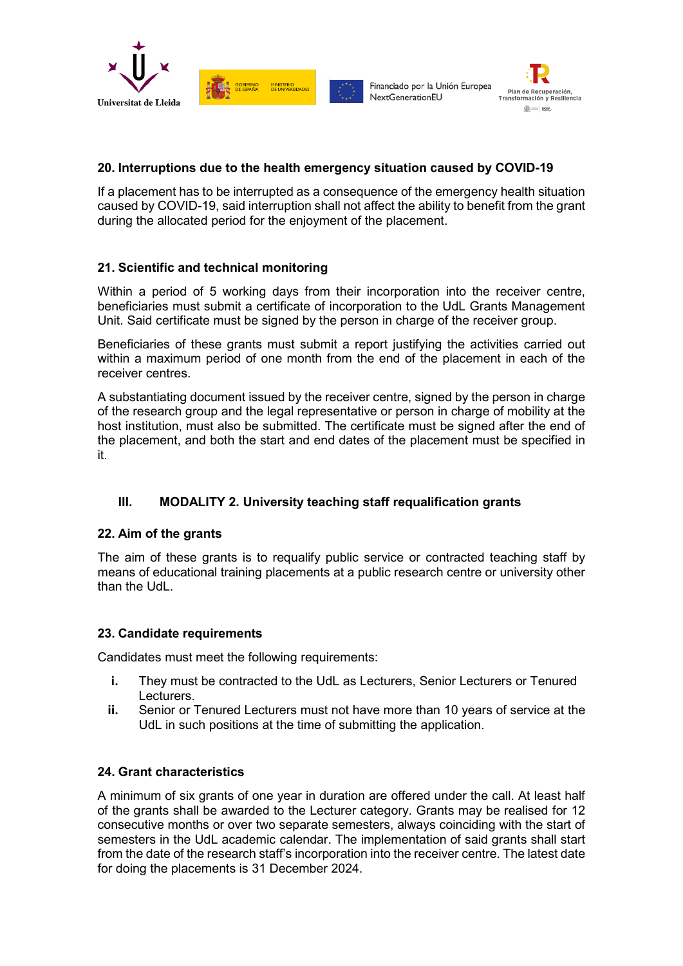





## **20. Interruptions due to the health emergency situation caused by COVID-19**

If a placement has to be interrupted as a consequence of the emergency health situation caused by COVID-19, said interruption shall not affect the ability to benefit from the grant during the allocated period for the enjoyment of the placement.

## **21. Scientific and technical monitoring**

Within a period of 5 working days from their incorporation into the receiver centre, beneficiaries must submit a certificate of incorporation to the UdL Grants Management Unit. Said certificate must be signed by the person in charge of the receiver group.

Beneficiaries of these grants must submit a report justifying the activities carried out within a maximum period of one month from the end of the placement in each of the receiver centres.

A substantiating document issued by the receiver centre, signed by the person in charge of the research group and the legal representative or person in charge of mobility at the host institution, must also be submitted. The certificate must be signed after the end of the placement, and both the start and end dates of the placement must be specified in it.

## **III. MODALITY 2. University teaching staff requalification grants**

## **22. Aim of the grants**

The aim of these grants is to requalify public service or contracted teaching staff by means of educational training placements at a public research centre or university other than the Udl.

## **23. Candidate requirements**

Candidates must meet the following requirements:

- **i.** They must be contracted to the UdL as Lecturers, Senior Lecturers or Tenured Lecturers.
- **ii.** Senior or Tenured Lecturers must not have more than 10 years of service at the UdL in such positions at the time of submitting the application.

## **24. Grant characteristics**

A minimum of six grants of one year in duration are offered under the call. At least half of the grants shall be awarded to the Lecturer category. Grants may be realised for 12 consecutive months or over two separate semesters, always coinciding with the start of semesters in the UdL academic calendar. The implementation of said grants shall start from the date of the research staff's incorporation into the receiver centre. The latest date for doing the placements is 31 December 2024.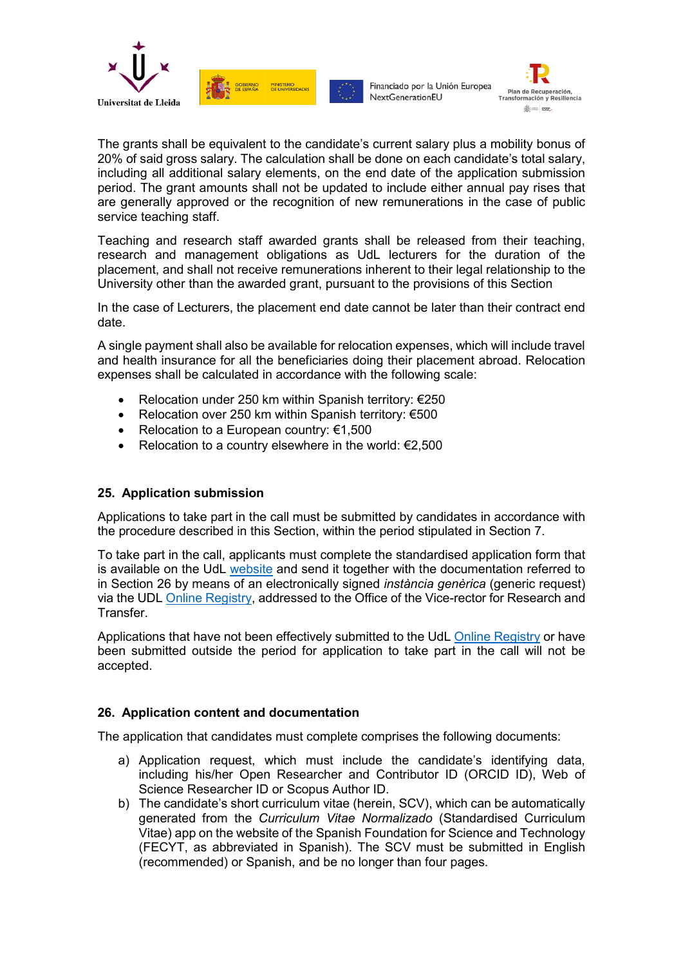





The grants shall be equivalent to the candidate's current salary plus a mobility bonus of 20% of said gross salary. The calculation shall be done on each candidate's total salary, including all additional salary elements, on the end date of the application submission period. The grant amounts shall not be updated to include either annual pay rises that are generally approved or the recognition of new remunerations in the case of public service teaching staff.

Teaching and research staff awarded grants shall be released from their teaching, research and management obligations as UdL lecturers for the duration of the placement, and shall not receive remunerations inherent to their legal relationship to the University other than the awarded grant, pursuant to the provisions of this Section

In the case of Lecturers, the placement end date cannot be later than their contract end date.

A single payment shall also be available for relocation expenses, which will include travel and health insurance for all the beneficiaries doing their placement abroad. Relocation expenses shall be calculated in accordance with the following scale:

• Relocation under 250 km within Spanish territory: €250

MINISTERIO

- Relocation over 250 km within Spanish territory: €500
- Relocation to a European country:  $€1,500$
- Relocation to a country elsewhere in the world:  $E$ 2,500

## **25. Application submission**

Applications to take part in the call must be submitted by candidates in accordance with the procedure described in this Section, within the period stipulated in Section 7.

To take part in the call, applicants must complete the standardised application form that is available on the UdL [website](http://www.udl.cat/ca/recerca/convoca/) and send it together with the documentation referred to in Section 26 by means of an electronically signed *instància genèrica* (generic request) via the UDL [Online Registry,](https://seuelectronica.udl.cat/registreelectronic.php) addressed to the Office of the Vice-rector for Research and Transfer.

Applications that have not been effectively submitted to the UdL [Online Registry](https://seuelectronica.udl.cat/registreelectronic.php) or have been submitted outside the period for application to take part in the call will not be accepted.

## **26. Application content and documentation**

The application that candidates must complete comprises the following documents:

- a) Application request, which must include the candidate's identifying data, including his/her Open Researcher and Contributor ID (ORCID ID), Web of Science Researcher ID or Scopus Author ID.
- b) The candidate's short curriculum vitae (herein, SCV), which can be automatically generated from the *Curriculum Vitae Normalizado* (Standardised Curriculum Vitae) app on the website of the Spanish Foundation for Science and Technology (FECYT, as abbreviated in Spanish). The SCV must be submitted in English (recommended) or Spanish, and be no longer than four pages.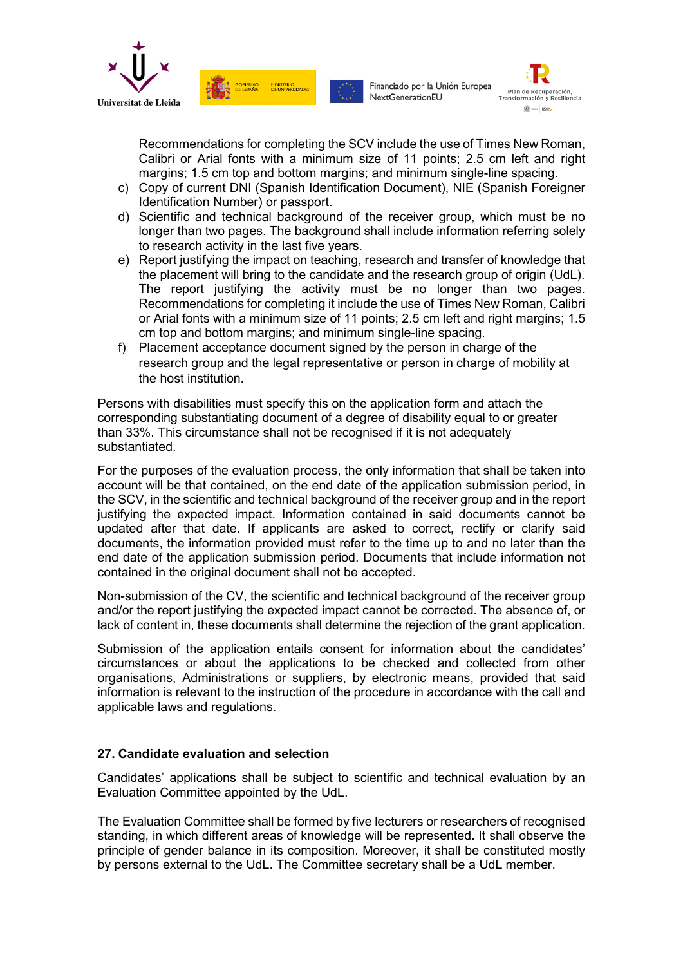



Recommendations for completing the SCV include the use of Times New Roman, Calibri or Arial fonts with a minimum size of 11 points; 2.5 cm left and right margins; 1.5 cm top and bottom margins; and minimum single-line spacing.

c) Copy of current DNI (Spanish Identification Document), NIE (Spanish Foreigner Identification Number) or passport.

MINISTERIO

- d) Scientific and technical background of the receiver group, which must be no longer than two pages. The background shall include information referring solely to research activity in the last five years.
- e) Report justifying the impact on teaching, research and transfer of knowledge that the placement will bring to the candidate and the research group of origin (UdL). The report justifying the activity must be no longer than two pages. Recommendations for completing it include the use of Times New Roman, Calibri or Arial fonts with a minimum size of 11 points; 2.5 cm left and right margins; 1.5 cm top and bottom margins; and minimum single-line spacing.
- f) Placement acceptance document signed by the person in charge of the research group and the legal representative or person in charge of mobility at the host institution.

Persons with disabilities must specify this on the application form and attach the corresponding substantiating document of a degree of disability equal to or greater than 33%. This circumstance shall not be recognised if it is not adequately substantiated.

For the purposes of the evaluation process, the only information that shall be taken into account will be that contained, on the end date of the application submission period, in the SCV, in the scientific and technical background of the receiver group and in the report justifying the expected impact. Information contained in said documents cannot be updated after that date. If applicants are asked to correct, rectify or clarify said documents, the information provided must refer to the time up to and no later than the end date of the application submission period. Documents that include information not contained in the original document shall not be accepted.

Non-submission of the CV, the scientific and technical background of the receiver group and/or the report justifying the expected impact cannot be corrected. The absence of, or lack of content in, these documents shall determine the rejection of the grant application.

Submission of the application entails consent for information about the candidates' circumstances or about the applications to be checked and collected from other organisations, Administrations or suppliers, by electronic means, provided that said information is relevant to the instruction of the procedure in accordance with the call and applicable laws and regulations.

## **27. Candidate evaluation and selection**

Candidates' applications shall be subject to scientific and technical evaluation by an Evaluation Committee appointed by the UdL.

The Evaluation Committee shall be formed by five lecturers or researchers of recognised standing, in which different areas of knowledge will be represented. It shall observe the principle of gender balance in its composition. Moreover, it shall be constituted mostly by persons external to the UdL. The Committee secretary shall be a UdL member.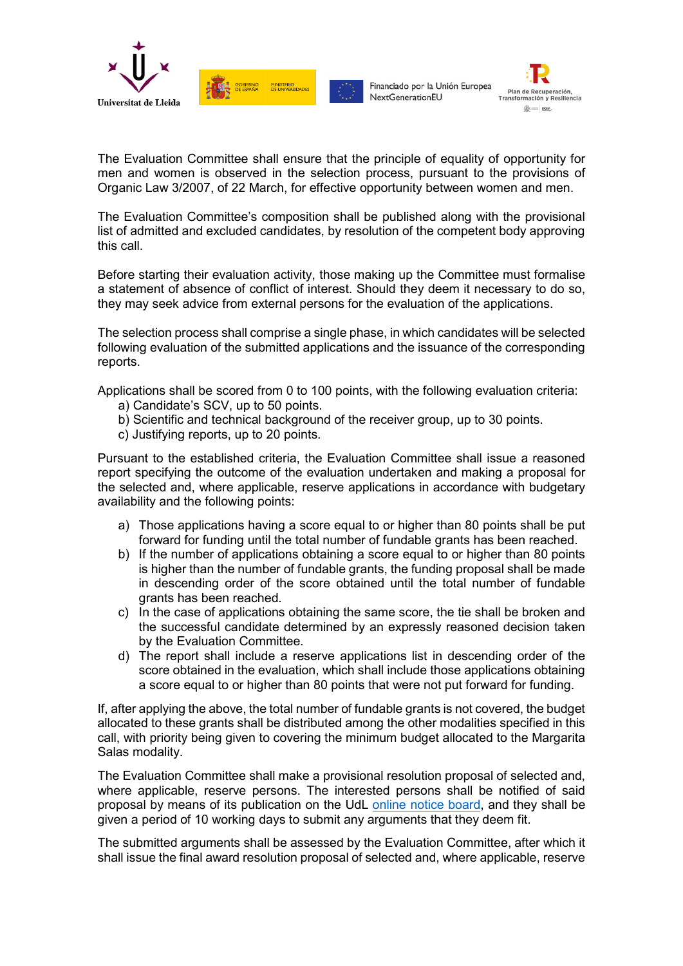





The Evaluation Committee shall ensure that the principle of equality of opportunity for men and women is observed in the selection process, pursuant to the provisions of Organic Law 3/2007, of 22 March, for effective opportunity between women and men.

The Evaluation Committee's composition shall be published along with the provisional list of admitted and excluded candidates, by resolution of the competent body approving this call.

Before starting their evaluation activity, those making up the Committee must formalise a statement of absence of conflict of interest. Should they deem it necessary to do so, they may seek advice from external persons for the evaluation of the applications.

The selection process shall comprise a single phase, in which candidates will be selected following evaluation of the submitted applications and the issuance of the corresponding reports.

Applications shall be scored from 0 to 100 points, with the following evaluation criteria:

- a) Candidate's SCV, up to 50 points.
- b) Scientific and technical background of the receiver group, up to 30 points.
- c) Justifying reports, up to 20 points.

Pursuant to the established criteria, the Evaluation Committee shall issue a reasoned report specifying the outcome of the evaluation undertaken and making a proposal for the selected and, where applicable, reserve applications in accordance with budgetary availability and the following points:

- a) Those applications having a score equal to or higher than 80 points shall be put forward for funding until the total number of fundable grants has been reached.
- b) If the number of applications obtaining a score equal to or higher than 80 points is higher than the number of fundable grants, the funding proposal shall be made in descending order of the score obtained until the total number of fundable grants has been reached.
- c) In the case of applications obtaining the same score, the tie shall be broken and the successful candidate determined by an expressly reasoned decision taken by the Evaluation Committee.
- d) The report shall include a reserve applications list in descending order of the score obtained in the evaluation, which shall include those applications obtaining a score equal to or higher than 80 points that were not put forward for funding.

If, after applying the above, the total number of fundable grants is not covered, the budget allocated to these grants shall be distributed among the other modalities specified in this call, with priority being given to covering the minimum budget allocated to the Margarita Salas modality.

The Evaluation Committee shall make a provisional resolution proposal of selected and, where applicable, reserve persons. The interested persons shall be notified of said proposal by means of its publication on the UdL [online notice board,](https://seuelectronica.udl.cat/etauler.php) and they shall be given a period of 10 working days to submit any arguments that they deem fit.

The submitted arguments shall be assessed by the Evaluation Committee, after which it shall issue the final award resolution proposal of selected and, where applicable, reserve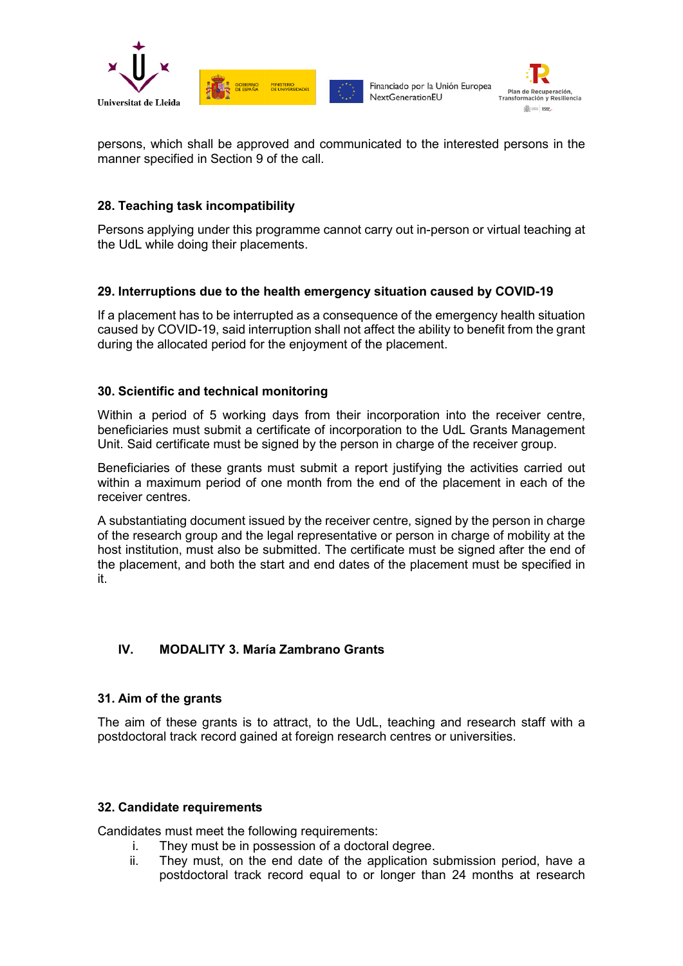



persons, which shall be approved and communicated to the interested persons in the manner specified in Section 9 of the call.

## **28. Teaching task incompatibility**

Persons applying under this programme cannot carry out in-person or virtual teaching at the UdL while doing their placements.

## **29. Interruptions due to the health emergency situation caused by COVID-19**

If a placement has to be interrupted as a consequence of the emergency health situation caused by COVID-19, said interruption shall not affect the ability to benefit from the grant during the allocated period for the enjoyment of the placement.

## **30. Scientific and technical monitoring**

Within a period of 5 working days from their incorporation into the receiver centre, beneficiaries must submit a certificate of incorporation to the UdL Grants Management Unit. Said certificate must be signed by the person in charge of the receiver group.

Beneficiaries of these grants must submit a report justifying the activities carried out within a maximum period of one month from the end of the placement in each of the receiver centres.

A substantiating document issued by the receiver centre, signed by the person in charge of the research group and the legal representative or person in charge of mobility at the host institution, must also be submitted. The certificate must be signed after the end of the placement, and both the start and end dates of the placement must be specified in it.

## **IV. MODALITY 3. María Zambrano Grants**

#### **31. Aim of the grants**

The aim of these grants is to attract, to the UdL, teaching and research staff with a postdoctoral track record gained at foreign research centres or universities.

#### **32. Candidate requirements**

Candidates must meet the following requirements:

- i. They must be in possession of a doctoral degree.
- ii. They must, on the end date of the application submission period, have a postdoctoral track record equal to or longer than 24 months at research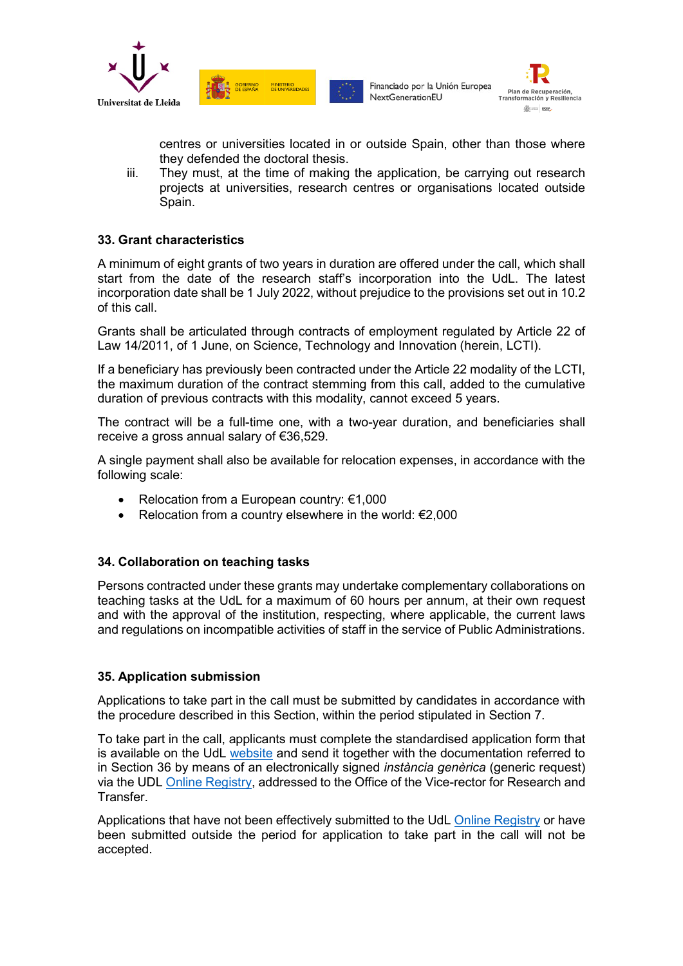



centres or universities located in or outside Spain, other than those where they defended the doctoral thesis.

iii. They must, at the time of making the application, be carrying out research projects at universities, research centres or organisations located outside Spain.

## **33. Grant characteristics**

A minimum of eight grants of two years in duration are offered under the call, which shall start from the date of the research staff's incorporation into the UdL. The latest incorporation date shall be 1 July 2022, without prejudice to the provisions set out in 10.2 of this call.

Grants shall be articulated through contracts of employment regulated by Article 22 of Law 14/2011, of 1 June, on Science, Technology and Innovation (herein, LCTI).

If a beneficiary has previously been contracted under the Article 22 modality of the LCTI, the maximum duration of the contract stemming from this call, added to the cumulative duration of previous contracts with this modality, cannot exceed 5 years.

The contract will be a full-time one, with a two-year duration, and beneficiaries shall receive a gross annual salary of €36,529.

A single payment shall also be available for relocation expenses, in accordance with the following scale:

- Relocation from a European country: €1,000
- Relocation from a country elsewhere in the world:  $E$ 2,000

#### **34. Collaboration on teaching tasks**

Persons contracted under these grants may undertake complementary collaborations on teaching tasks at the UdL for a maximum of 60 hours per annum, at their own request and with the approval of the institution, respecting, where applicable, the current laws and regulations on incompatible activities of staff in the service of Public Administrations.

#### **35. Application submission**

Applications to take part in the call must be submitted by candidates in accordance with the procedure described in this Section, within the period stipulated in Section 7.

To take part in the call, applicants must complete the standardised application form that is available on the UdL [website](http://www.udl.cat/ca/recerca/convoca/) and send it together with the documentation referred to in Section 36 by means of an electronically signed *instància genèrica* (generic request) via the UDL Online [Registry,](https://seuelectronica.udl.cat/registreelectronic.php) addressed to the Office of the Vice-rector for Research and Transfer.

Applications that have not been effectively submitted to the UdL [Online Registry](https://seuelectronica.udl.cat/registreelectronic.php) or have been submitted outside the period for application to take part in the call will not be accepted.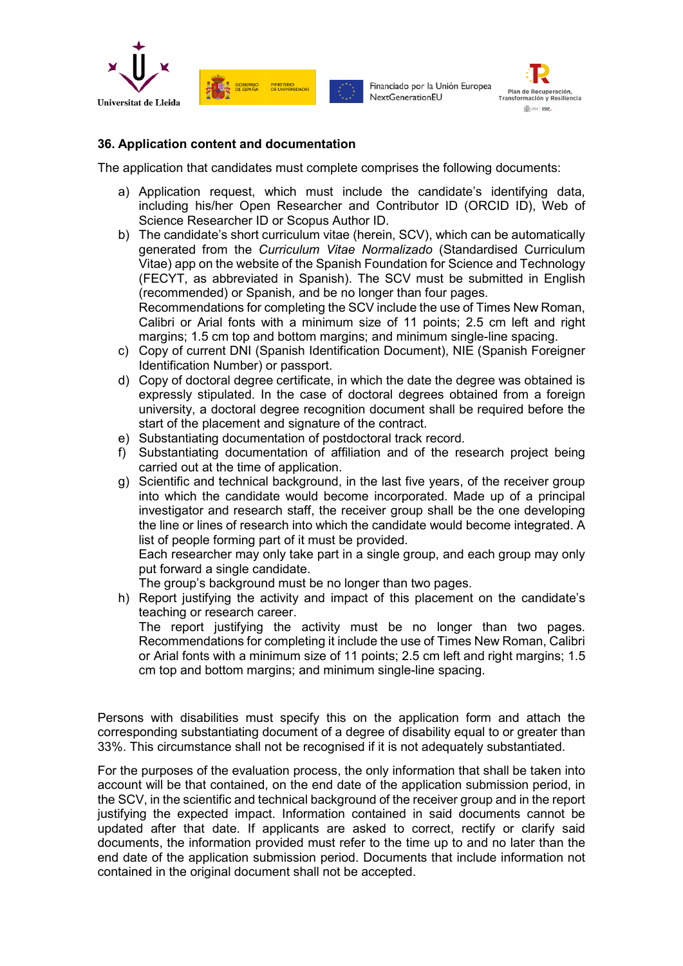





#### **36. Application content and documentation**

The application that candidates must complete comprises the following documents:

- a) Application request, which must include the candidate's identifying data, including his/her Open Researcher and Contributor ID (ORCID ID), Web of Science Researcher ID or Scopus Author ID.
- b) The candidate's short curriculum vitae (herein, SCV), which can be automatically generated from the *Curriculum Vitae Normalizado* (Standardised Curriculum Vitae) app on the website of the Spanish Foundation for Science and Technology (FECYT, as abbreviated in Spanish). The SCV must be submitted in English (recommended) or Spanish, and be no longer than four pages.

Recommendations for completing the SCV include the use of Times New Roman, Calibri or Arial fonts with a minimum size of 11 points; 2.5 cm left and right margins; 1.5 cm top and bottom margins; and minimum single-line spacing.

- c) Copy of current DNI (Spanish Identification Document), NIE (Spanish Foreigner Identification Number) or passport.
- d) Copy of doctoral degree certificate, in which the date the degree was obtained is expressly stipulated. In the case of doctoral degrees obtained from a foreign university, a doctoral degree recognition document shall be required before the start of the placement and signature of the contract.
- e) Substantiating documentation of postdoctoral track record.
- f) Substantiating documentation of affiliation and of the research project being carried out at the time of application.
- g) Scientific and technical background, in the last five years, of the receiver group into which the candidate would become incorporated. Made up of a principal investigator and research staff, the receiver group shall be the one developing the line or lines of research into which the candidate would become integrated. A list of people forming part of it must be provided.

Each researcher may only take part in a single group, and each group may only put forward a single candidate.

The group's background must be no longer than two pages.

h) Report justifying the activity and impact of this placement on the candidate's teaching or research career.

The report justifying the activity must be no longer than two pages. Recommendations for completing it include the use of Times New Roman, Calibri or Arial fonts with a minimum size of 11 points; 2.5 cm left and right margins; 1.5 cm top and bottom margins; and minimum single-line spacing.

Persons with disabilities must specify this on the application form and attach the corresponding substantiating document of a degree of disability equal to or greater than 33%. This circumstance shall not be recognised if it is not adequately substantiated.

For the purposes of the evaluation process, the only information that shall be taken into account will be that contained, on the end date of the application submission period, in the SCV, in the scientific and technical background of the receiver group and in the report justifying the expected impact. Information contained in said documents cannot be updated after that date. If applicants are asked to correct, rectify or clarify said documents, the information provided must refer to the time up to and no later than the end date of the application submission period. Documents that include information not contained in the original document shall not be accepted.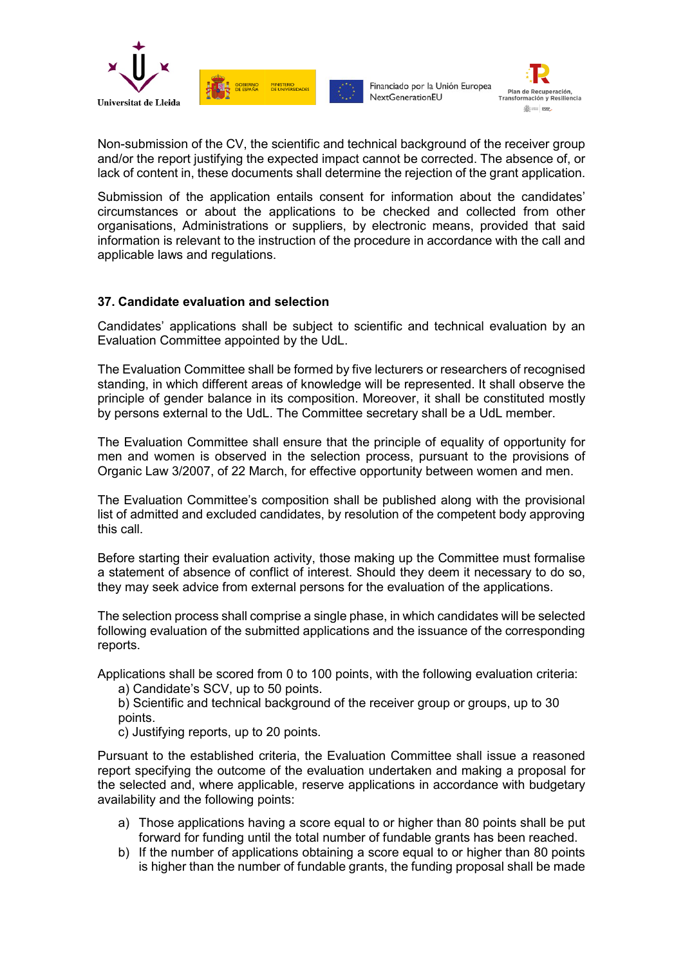



Non-submission of the CV, the scientific and technical background of the receiver group and/or the report justifying the expected impact cannot be corrected. The absence of, or lack of content in, these documents shall determine the rejection of the grant application.

Submission of the application entails consent for information about the candidates' circumstances or about the applications to be checked and collected from other organisations, Administrations or suppliers, by electronic means, provided that said information is relevant to the instruction of the procedure in accordance with the call and applicable laws and regulations.

## **37. Candidate evaluation and selection**

Candidates' applications shall be subject to scientific and technical evaluation by an Evaluation Committee appointed by the UdL.

The Evaluation Committee shall be formed by five lecturers or researchers of recognised standing, in which different areas of knowledge will be represented. It shall observe the principle of gender balance in its composition. Moreover, it shall be constituted mostly by persons external to the UdL. The Committee secretary shall be a UdL member.

The Evaluation Committee shall ensure that the principle of equality of opportunity for men and women is observed in the selection process, pursuant to the provisions of Organic Law 3/2007, of 22 March, for effective opportunity between women and men.

The Evaluation Committee's composition shall be published along with the provisional list of admitted and excluded candidates, by resolution of the competent body approving this call.

Before starting their evaluation activity, those making up the Committee must formalise a statement of absence of conflict of interest. Should they deem it necessary to do so, they may seek advice from external persons for the evaluation of the applications.

The selection process shall comprise a single phase, in which candidates will be selected following evaluation of the submitted applications and the issuance of the corresponding reports.

Applications shall be scored from 0 to 100 points, with the following evaluation criteria:

a) Candidate's SCV, up to 50 points.

b) Scientific and technical background of the receiver group or groups, up to 30 points.

c) Justifying reports, up to 20 points.

Pursuant to the established criteria, the Evaluation Committee shall issue a reasoned report specifying the outcome of the evaluation undertaken and making a proposal for the selected and, where applicable, reserve applications in accordance with budgetary availability and the following points:

- a) Those applications having a score equal to or higher than 80 points shall be put forward for funding until the total number of fundable grants has been reached.
- b) If the number of applications obtaining a score equal to or higher than 80 points is higher than the number of fundable grants, the funding proposal shall be made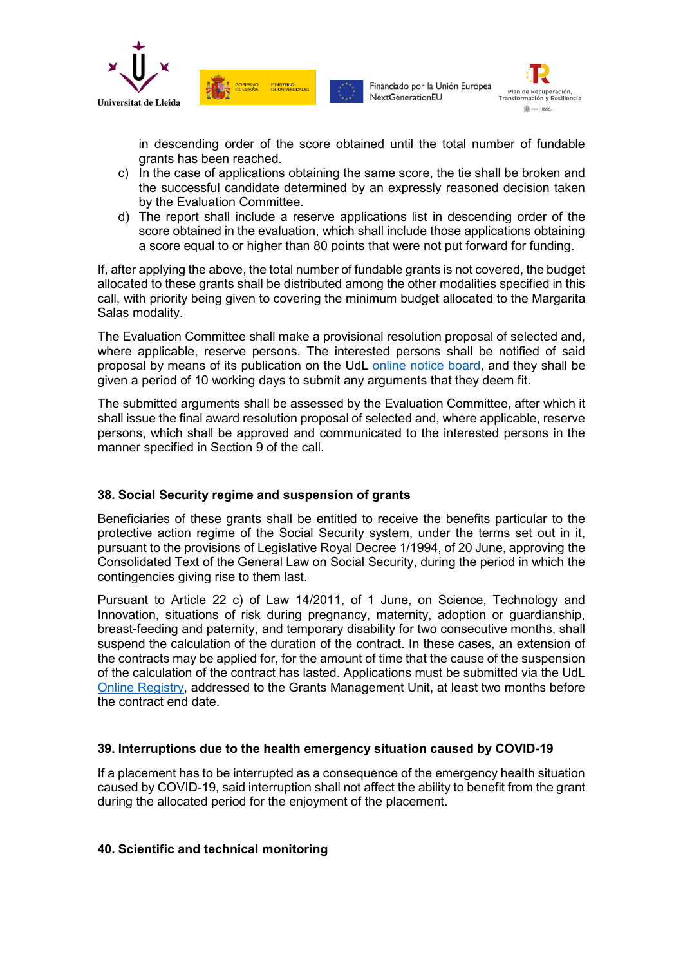



in descending order of the score obtained until the total number of fundable grants has been reached.

c) In the case of applications obtaining the same score, the tie shall be broken and the successful candidate determined by an expressly reasoned decision taken by the Evaluation Committee.

MINISTERIO

**SOBIERNO** 

d) The report shall include a reserve applications list in descending order of the score obtained in the evaluation, which shall include those applications obtaining a score equal to or higher than 80 points that were not put forward for funding.

If, after applying the above, the total number of fundable grants is not covered, the budget allocated to these grants shall be distributed among the other modalities specified in this call, with priority being given to covering the minimum budget allocated to the Margarita Salas modality.

The Evaluation Committee shall make a provisional resolution proposal of selected and, where applicable, reserve persons. The interested persons shall be notified of said proposal by means of its publication on the UdL [online notice board,](https://seuelectronica.udl.cat/etauler.php) and they shall be given a period of 10 working days to submit any arguments that they deem fit.

The submitted arguments shall be assessed by the Evaluation Committee, after which it shall issue the final award resolution proposal of selected and, where applicable, reserve persons, which shall be approved and communicated to the interested persons in the manner specified in Section 9 of the call.

## **38. Social Security regime and suspension of grants**

Beneficiaries of these grants shall be entitled to receive the benefits particular to the protective action regime of the Social Security system, under the terms set out in it, pursuant to the provisions of Legislative Royal Decree 1/1994, of 20 June, approving the Consolidated Text of the General Law on Social Security, during the period in which the contingencies giving rise to them last.

Pursuant to Article 22 c) of Law 14/2011, of 1 June, on Science, Technology and Innovation, situations of risk during pregnancy, maternity, adoption or guardianship, breast-feeding and paternity, and temporary disability for two consecutive months, shall suspend the calculation of the duration of the contract. In these cases, an extension of the contracts may be applied for, for the amount of time that the cause of the suspension of the calculation of the contract has lasted. Applications must be submitted via the UdL [Online Registry,](https://seuelectronica.udl.cat/registreelectronic.php) addressed to the Grants Management Unit, at least two months before the contract end date.

## **39. Interruptions due to the health emergency situation caused by COVID-19**

If a placement has to be interrupted as a consequence of the emergency health situation caused by COVID-19, said interruption shall not affect the ability to benefit from the grant during the allocated period for the enjoyment of the placement.

## **40. Scientific and technical monitoring**